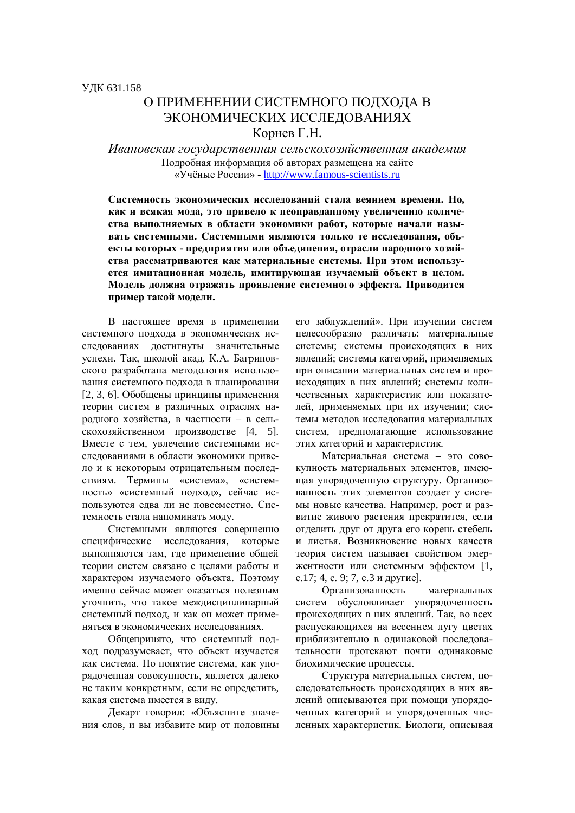## О ПРИМЕНЕНИИ СИСТЕМНОГО ПОДХОДА В ЭКОНОМИЧЕСКИХ ИССЛЕДОВАНИЯХ Корнев Г.Н.

Ивановская государственная сельскохозяйственная академия Подробная информация об авторах размещена на сайте «Учёные России» - http://www.famous-scientists.ru

Системность экономических исследований стала веянием времени. Но, как и всякая мода, это привело к неоправданному увеличению количества выполняемых в области экономики работ, которые начали называть системными. Системными являются только те исследования, объекты которых - предприятия или объединения, отрасли народного хозяйства рассматриваются как материальные системы. При этом используется имитационная модель, имитирующая изучаемый объект в целом. Модель должна отражать проявление системного эффекта. Приводится пример такой модели.

В настоящее время в применении системного подхода в экономических исслелованиях лостигнуты значительные успехи. Так, школой акал. К.А. Багриновского разработана методология использования системного подхода в планировании [2, 3, 6]. Обобщены принципы применения теории систем в различных отраслях народного хозяйства, в частности – в сель- $\alpha$ кохозяйственном производстве [4, 5]. Вместе с тем, увлечение системными исследованиями в области экономики привело и к некоторым отрицательным последствиям. Термины «система», «системность» «системный подход», сейчас используются едва ли не повсеместно. Системность стала напоминать моду.

Системными являются совершенно специфические исследования, которые выполняются там, где применение общей теории систем связано с целями работы и характером изучаемого объекта. Поэтому именно сейчас может оказаться полезным уточнить, что такое междисциплинарный системный подход, и как он может применяться в экономических исслелованиях.

Общепринято, что системный подход подразумевает, что объект изучается как система. Но понятие система, как упорядоченная совокупность, является далеко не таким конкретным, если не определить, какая система имеется в виду.

Декарт говорил: «Объясните значения слов, и вы избавите мир от половины его заблуждений». При изучении систем иелесообразно различать: материальные системы: системы происходящих в них явлений: системы категорий, применяемых при описании материальных систем и происходящих в них явлений; системы количественных характеристик или показателей, применяемых при их изучении; системы методов исследования материальных систем, предполагающие использование этих категорий и характеристик.

Материальная система – это совокупность материальных элементов, имеющая упорядоченную структуру. Организованность этих элементов создает у системы новые качества. Например, рост и развитие живого растения прекратится, если отделить друг от друга его корень стебель и листья. Возникновение новых качеств теория систем называет свойством эмержентности или системным эффектом [1, с.17; 4, с. 9; 7, с.3 и другие].

Организованность материальных систем обусловливает упорядоченность происходящих в них явлений. Так, во всех распускающихся на весеннем лугу цветах приблизительно в одинаковой последовательности протекают почти одинаковые биохимические процессы.

Структура материальных систем, последовательность происходящих в них явлений описываются при помощи упорядоченных категорий и упорядоченных численных характеристик. Биологи, описывая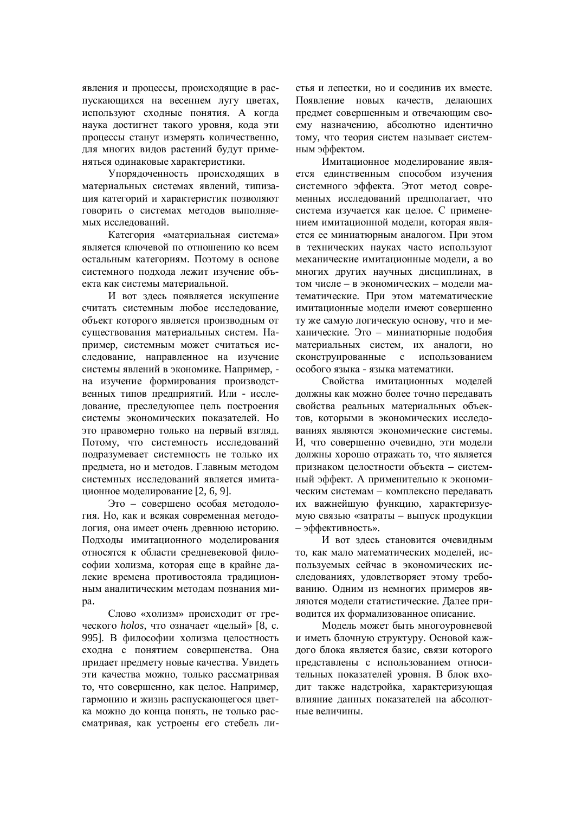явления и процессы, происходящие в распускающихся на весеннем лугу цветах, используют сходные понятия. А когда наука достигнет такого уровня, кода эти процессы станут измерять количественно, для многих видов растений будут применяться одинаковые характеристики.

Упорядоченность происходящих в материальных системах явлений, типизация категорий и характеристик позволяют говорить о системах методов выполняемых исслелований.

Категория «материальная система» является ключевой по отношению ко всем остальным категориям. Поэтому в основе системного подхода лежит изучение объекта как системы материальной.

И вот злесь появляется искушение считать системным любое исследование. объект которого является производным от существования материальных систем. Например, системным может считаться исследование, направленное на изучение системы явлений в экономике. Например. на изучение формирования производственных типов предприятий. Или - исследование, преследующее цель построения системы экономических показателей. Но это правомерно только на первый взгляд. Потому, что системность исследований подразумевает системность не только их предмета, но и методов. Главным методом системных исследований является имитационное моделирование [2, 6, 9].

Это – совершено особая методология. Но, как и всякая современная методология, она имеет очень древнюю историю. Подходы имитационного моделирования относятся к области средневековой философии холизма, которая еще в крайне далекие времена противостояла традиционным аналитическим метолам познания миpa.

Слово «холизм» происходит от греческого *holos*, что означает «целый» [8, с. 995]. В философии холизма целостность сходна с понятием совершенства. Она придает предмету новые качества. Увидеть эти качества можно, только рассматривая то, что совершенно, как целое. Например, гармонию и жизнь распускающегося цветка можно до конца понять, не только рассматривая, как устроены его стебель листья и лепестки, но и соединив их вместе. Появление новых качеств, делающих прелмет совершенным и отвечающим своему назначению, абсолютно идентично тому, что теория систем называет системным эффектом.

Имитационное моделирование является единственным способом изучения системного эффекта. Этот метод современных исслелований прелполагает, что система изучается как целое. С применением имитационной модели, которая является ее миниатюрным аналогом. При этом в технических науках часто используют механические имитационные модели, а во многих других научных дисциплинах. в том числе – в экономических – модели математические. При этом математические имитационные модели имеют совершенно ту же самую логическую основу, что и механические. Это – миниатюрные подобия материальных систем, их аналоги, но сконструированные с использованием особого языка - языка математики.

Свойства имитационных моделей должны как можно более точно передавать свойства реальных материальных объектов, которыми в экономических исследованиях являются экономические системы. И, что совершенно очевилно, эти молели должны хорошо отражать то, что является признаком целостности объекта – системный эффект. А применительно к экономическим системам – комплексно передавать их важнейшую функцию, характеризуемую связью «затраты - выпуск продукции – эффективность».

И вот здесь становится очевидным то, как мало математических моделей, используемых сейчас в экономических исследованиях, удовлетворяет этому требованию. Одним из немногих примеров являются модели статистические. Далее приводится их формализованное описание.

Модель может быть многоуровневой и иметь блочную структуру. Основой каждого блока является базис, связи которого представлены с использованием относительных показателей уровня. В блок входит также надстройка, характеризующая влияние ланных показателей на абсолютные величины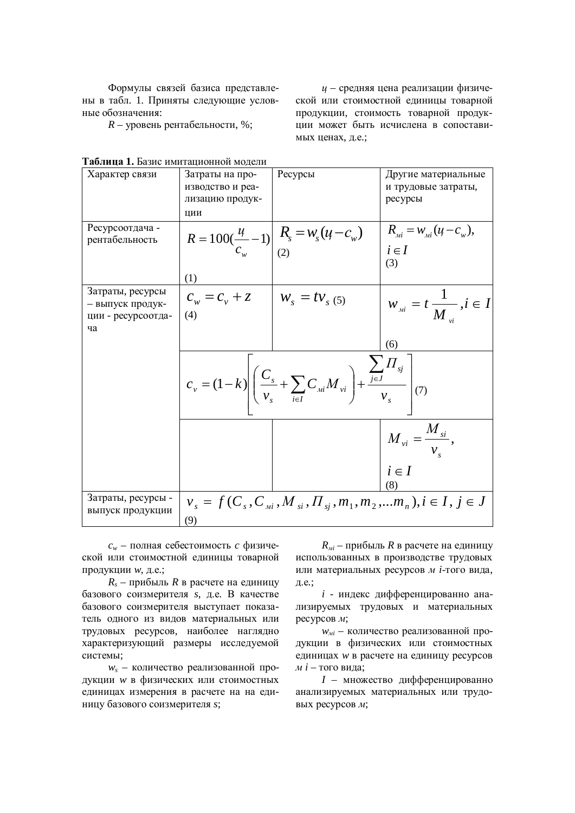Формулы связей базиса представлены в табл. 1. Приняты следующие условные обозначения:

 $R$  – уровень рентабельности, %;

*и* – средняя цена реализации физической или стоимостной единицы товарной продукции, стоимость товарной продукиии может быть исчислена в сопоставимых ценах, д.е.;

|                                        | 11441101110111024                                                                                                               |                                                                                                    |                                                       |
|----------------------------------------|---------------------------------------------------------------------------------------------------------------------------------|----------------------------------------------------------------------------------------------------|-------------------------------------------------------|
| Характер связи                         | Затраты на про-                                                                                                                 | Ресурсы                                                                                            | Другие материальные                                   |
|                                        | изводство и реа-                                                                                                                |                                                                                                    | и трудовые затраты,                                   |
|                                        | лизацию продук-                                                                                                                 |                                                                                                    | ресурсы                                               |
|                                        |                                                                                                                                 |                                                                                                    |                                                       |
|                                        | ЦИИ                                                                                                                             |                                                                                                    |                                                       |
| Ресурсоотдача -                        |                                                                                                                                 |                                                                                                    | $R_{\mu i} = W_{\mu i} (u - c_{w}),$                  |
| рентабельность                         |                                                                                                                                 |                                                                                                    |                                                       |
|                                        |                                                                                                                                 | $R = 100(\frac{u}{c_w} - 1) \left  \begin{array}{c} R_s = w_s(u - c_w) \\ (2) \end{array} \right $ | $i \in I$                                             |
|                                        |                                                                                                                                 |                                                                                                    | (3)                                                   |
|                                        |                                                                                                                                 |                                                                                                    |                                                       |
|                                        | (1)                                                                                                                             |                                                                                                    |                                                       |
| Затраты, ресурсы                       |                                                                                                                                 |                                                                                                    |                                                       |
| - выпуск продук-                       | $c_w = c_v + z$ $w_s = t v_{s(5)}$                                                                                              |                                                                                                    | $W_{\scriptscriptstyle{M}i} = t \frac{1}{M}, i \in I$ |
| ции - ресурсоотда-                     | (4)                                                                                                                             |                                                                                                    |                                                       |
| ча                                     |                                                                                                                                 |                                                                                                    |                                                       |
|                                        |                                                                                                                                 |                                                                                                    |                                                       |
|                                        |                                                                                                                                 |                                                                                                    | (6)                                                   |
|                                        | $c_v = (1-k) \left( \frac{C_s}{v_s} + \sum_{i \in I} C_{ui} M_{vi} \right) + \frac{\sum_{j \in J} \prod_{sj}}{v_s} \right) (7)$ |                                                                                                    |                                                       |
|                                        |                                                                                                                                 |                                                                                                    | $M_{vi} = \frac{M_{si}}{v_{s}},$                      |
|                                        |                                                                                                                                 |                                                                                                    | $i \in I$                                             |
|                                        |                                                                                                                                 |                                                                                                    | (8)                                                   |
|                                        |                                                                                                                                 |                                                                                                    |                                                       |
| Затраты, ресурсы -<br>выпуск продукции | $v_s = f(C_s, C_{si}, M_{si}, \Pi_{sj}, m_1, m_2, \dots m_n), i \in I, j \in J$                                                 |                                                                                                    |                                                       |
|                                        | (9)                                                                                                                             |                                                                                                    |                                                       |

| Таблица 1. Базис имитационной модели |  |  |
|--------------------------------------|--|--|
|--------------------------------------|--|--|

 $c_w$  – полная себестоимость *с* физической или стоимостной единицы товарной продукции *w*, д.е.;

 $R_s$  – прибыль  $R$  в расчете на единицу базового соизмерителя *s*, д.е. В качестве базового соизмерителя выступает показатель одного из видов материальных или трудовых ресурсов, наиболее наглядно характеризующий размеры исследуемой системы;

 $w_s$  - количество реализованной продукции *w* в физических или стоимостных единицах измерения в расчете на на единицу базового соизмерителя *s*:

 $R_{\textit{mi}}$  – прибыль  $R$  в расчете на единицу использованных в производстве трудовых или материальных ресурсов м *i*-того вида, д.е.;

*i* - индекс дифференцированно анализируемых трудовых и материальных  $\chi$ iecypcob  $\chi$ ;

 $w_{mi}$  – количество реализованной продукции в физических или стоимостных единицах *w* в расчете на единицу ресурсов  $\dot{M}$  *i* – того вила:

*I* – множество дифференцированно анализируемых материальных или трудовых ресурсов *м*;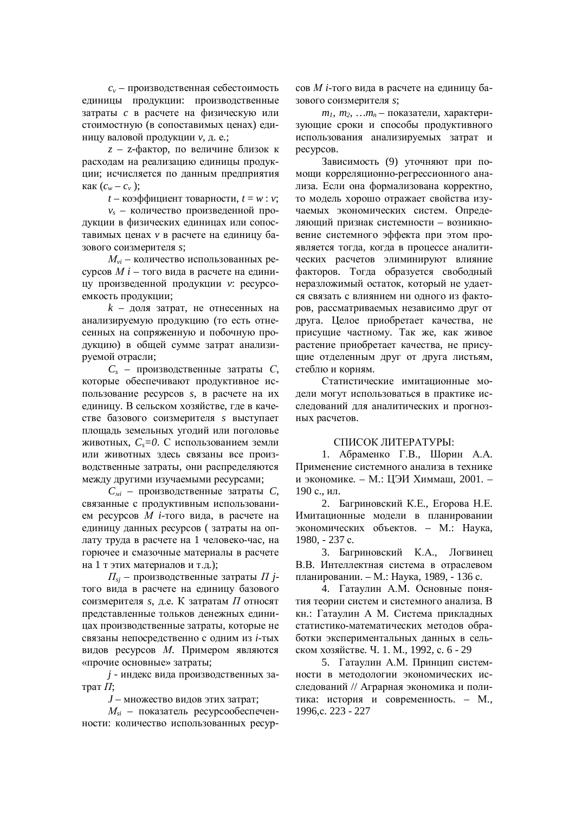$c_v$  – производственная себестоимость единицы продукции: производственные затраты *с* в расчете на физическую или стоимостную (в сопоставимых ценах) единицу валовой продукции *v*, д. е.;

*z* – *z*-фактор, по величине близок к расходам на реализацию единицы продукции; исчисляется по данным предприятия  $\kappa$ ак  $(c_w - c_v)$ ;

 $t -$ коэффициент товарности,  $t = w : v$ ;

 $v_s$  – количество произведенной продукции в физических единицах или сопоставимых ценах *v* в расчете на единицу базового соизмерителя *s*;

*M*<sub>vi</sub> – количество использованных ресурсов *M i* – того вида в расчете на единицу произведенной продукции *v*: ресурсоемкость продукции;

 $k$  – доля затрат, не отнесенных на анализируемую продукцию (то есть отнесенных на сопряженную и побочную продукцию) в общей сумме затрат анализируемой отрасли;

 $C<sub>s</sub>$  – производственные затраты  $C$ , которые обеспечивают продуктивное использование ресурсов *s*, в расчете на их единицу. В сельском хозяйстве, где в качестве базового соизмерителя *s* выступает площадь земельных угодий или поголовье животных,  $C_s = 0$ . С использованием земли или животных здесь связаны все производственные затраты, они распределяются между другими изучаемыми ресурсами;

 $C_{\textit{mi}}$  – производственные затраты  $C$ , связанные с продуктивным использованием ресурсов *М i*-того вида, в расчете на единицу данных ресурсов ( затраты на оплату труда в расчете на 1 человеко-час, на горючее и смазочные материалы в расчете на 1 т этих материалов и т.д.);

 $\Pi_{si}$  – производственные затраты  $\Pi$  *i*того вида в расчете на единицу базового соизмерителя *s*, д.е. К затратам *П* относят представленные тольков денежных единицах производственные затраты, которые не связаны непосредственно с одним из *i*-тых видов ресурсов М. Примером являются «прочие основные» затраты;

*j* - индекс вила производственных затрат  $\Pi$ :

*J* – множество видов этих затрат:

 $M_{si}$  – показатель ресурсообеспеченности: количество использованных ресурсов *М i*-того вида в расчете на единицу базового соизмерителя *s*;

 $m_1$ ,  $m_2$ , ... $m_n$  – показатели, характеризующие сроки и способы продуктивного использования анализируемых затрат и pecypcos.

Зависимость (9) уточняют при помощи корреляционно-регрессионного анализа. Если она формализована корректно, то молель хорошо отражает свойства изучаемых экономических систем. Определяющий признак системности – возникновение системного эффекта при этом проявляется тогда, когда в процессе аналитических расчетов элиминируют влияние факторов. Тогда образуется свободный неразложимый остаток, который не удается связать с влиянием ни одного из факторов, рассматриваемых независимо друг от друга. Целое приобретает качества, не присущие частному. Так же, как живое растение приобретает качества, не присущие отделенным друг от друга листьям, стеблю и корням.

Статистические имитационные модели могут использоваться в практике исследований для аналитических и прогнозных расчетов.

## СПИСОК ЛИТЕРАТУРЫ∙

1. Абраменко Г.В., Шорин А.А. Применение системного анализа в технике и экономике. – М.: ЦЭИ Химмаш, 2001. – 190 с., ил.

2. Багриновский К.Е., Егорова Н.Е. Имитационные модели в планировании экономических объектов. - М.: Наука, 1980, - 237 c.

3. Багриновский К.А., Логвинец В.В. Интеллектная система в отраслевом планировании. – М.: Наука, 1989. - 136 с.

4. Гатаулин А.М. Основные понятия теории систем и системного анализа. В кн.: Гатаулин А М. Система прикладных статистико-математических методов обработки экспериментальных данных в сельском хозяйстве. Ч. 1. М., 1992, с. 6 - 29

5. Гатаулин А.М. Принцип системности в методологии экономических исследований // Аграрная экономика и политика: история и современность. – М., 1996,c. 223 - 227